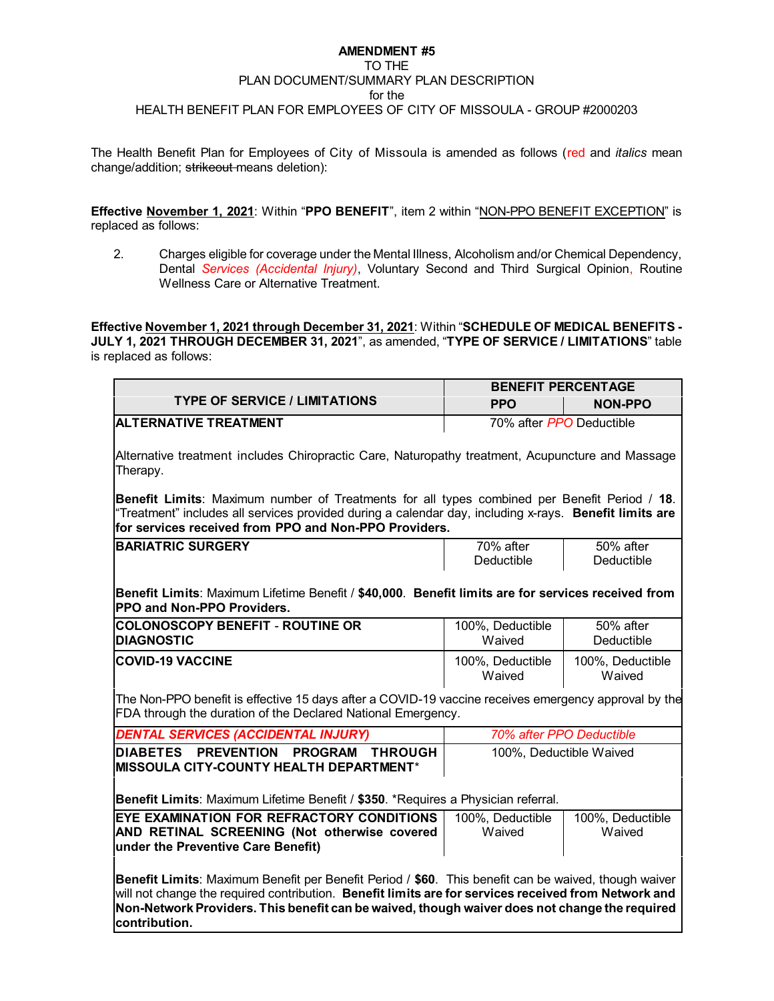#### **AMENDMENT #5** TO THE PLAN DOCUMENT/SUMMARY PLAN DESCRIPTION for the HEALTH BENEFIT PLAN FOR EMPLOYEES OF CITY OF MISSOULA - GROUP #2000203

The Health Benefit Plan for Employees of City of Missoula is amended as follows (red and *italics* mean change/addition; strikeout means deletion):

**Effective November 1, 2021**: Within "**PPO BENEFIT**", item 2 within "NON-PPO BENEFIT EXCEPTION" is replaced as follows:

2. Charges eligible for coverage under the Mental Illness, Alcoholism and/or Chemical Dependency, Dental *Services (Accidental Injury)*, Voluntary Second and Third Surgical Opinion, Routine Wellness Care or Alternative Treatment.

**Effective November 1, 2021 through December 31, 2021**: Within "**SCHEDULE OF MEDICAL BENEFITS - JULY 1, 2021 THROUGH DECEMBER 31, 2021**", as amended, "**TYPE OF SERVICE / LIMITATIONS**" table is replaced as follows:

|                                                                                                                                                                                                                                                                                                                                | <b>BENEFIT PERCENTAGE</b>    |                            |
|--------------------------------------------------------------------------------------------------------------------------------------------------------------------------------------------------------------------------------------------------------------------------------------------------------------------------------|------------------------------|----------------------------|
| <b>TYPE OF SERVICE / LIMITATIONS</b>                                                                                                                                                                                                                                                                                           | <b>PPO</b><br><b>NON-PPO</b> |                            |
| <b>ALTERNATIVE TREATMENT</b>                                                                                                                                                                                                                                                                                                   | 70% after PPO Deductible     |                            |
| Alternative treatment includes Chiropractic Care, Naturopathy treatment, Acupuncture and Massage<br>Therapy.                                                                                                                                                                                                                   |                              |                            |
| Benefit Limits: Maximum number of Treatments for all types combined per Benefit Period / 18.<br>"Treatment" includes all services provided during a calendar day, including x-rays. Benefit limits are<br>for services received from PPO and Non-PPO Providers.                                                                |                              |                            |
| <b>BARIATRIC SURGERY</b>                                                                                                                                                                                                                                                                                                       | 70% after<br>Deductible      | 50% after<br>Deductible    |
| Benefit Limits: Maximum Lifetime Benefit / \$40,000. Benefit limits are for services received from<br><b>PPO and Non-PPO Providers.</b>                                                                                                                                                                                        |                              |                            |
| <b>COLONOSCOPY BENEFIT - ROUTINE OR</b><br><b>DIAGNOSTIC</b>                                                                                                                                                                                                                                                                   | 100%, Deductible<br>Waived   | 50% after<br>Deductible    |
| <b>COVID-19 VACCINE</b>                                                                                                                                                                                                                                                                                                        | 100%, Deductible<br>Waived   | 100%, Deductible<br>Waived |
| The Non-PPO benefit is effective 15 days after a COVID-19 vaccine receives emergency approval by the<br>FDA through the duration of the Declared National Emergency.                                                                                                                                                           |                              |                            |
| <b>DENTAL SERVICES (ACCIDENTAL INJURY)</b>                                                                                                                                                                                                                                                                                     | 70% after PPO Deductible     |                            |
| DIABETES PREVENTION PROGRAM<br><b>THROUGH</b><br>MISSOULA CITY-COUNTY HEALTH DEPARTMENT*                                                                                                                                                                                                                                       | 100%, Deductible Waived      |                            |
| Benefit Limits: Maximum Lifetime Benefit / \$350. *Requires a Physician referral.                                                                                                                                                                                                                                              |                              |                            |
| EYE EXAMINATION FOR REFRACTORY CONDITIONS<br>AND RETINAL SCREENING (Not otherwise covered<br>under the Preventive Care Benefit)                                                                                                                                                                                                | 100%, Deductible<br>Waived   | 100%, Deductible<br>Waived |
| Benefit Limits: Maximum Benefit per Benefit Period / \$60. This benefit can be waived, though waiver<br>will not change the required contribution. Benefit limits are for services received from Network and<br>Non-Network Providers. This benefit can be waived, though waiver does not change the required<br>contribution. |                              |                            |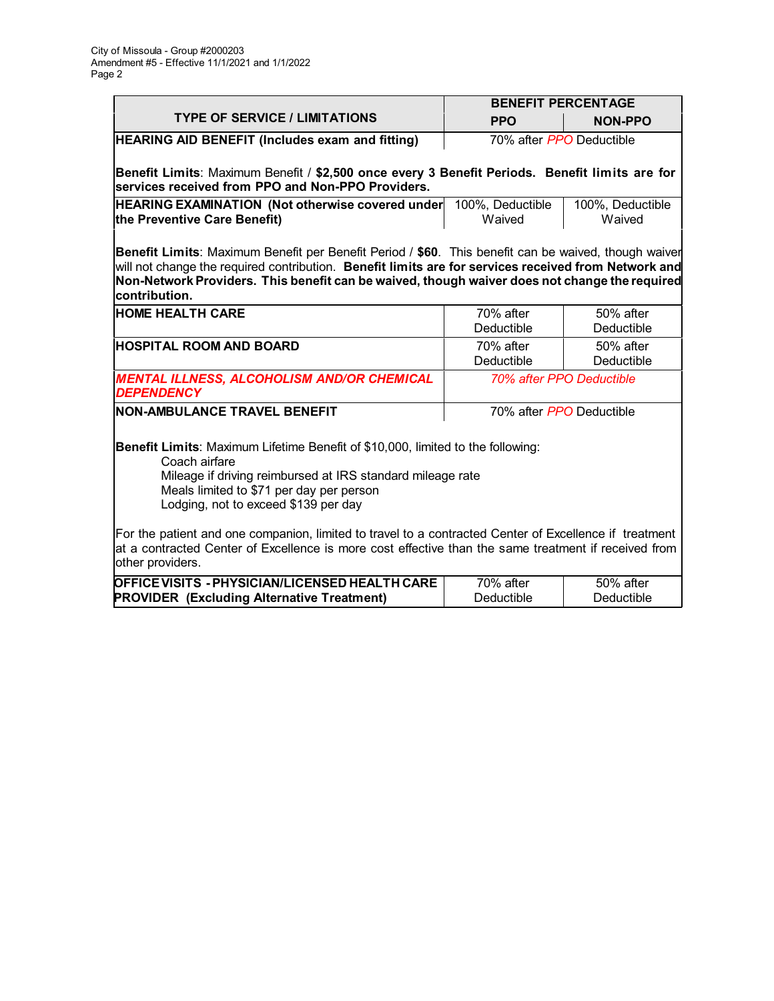|                                                                                                                                                                                                                                                                                                                                | <b>BENEFIT PERCENTAGE</b>  |                            |
|--------------------------------------------------------------------------------------------------------------------------------------------------------------------------------------------------------------------------------------------------------------------------------------------------------------------------------|----------------------------|----------------------------|
| <b>TYPE OF SERVICE / LIMITATIONS</b>                                                                                                                                                                                                                                                                                           | <b>PPO</b>                 | <b>NON-PPO</b>             |
| <b>HEARING AID BENEFIT (Includes exam and fitting)</b>                                                                                                                                                                                                                                                                         | 70% after PPO Deductible   |                            |
| Benefit Limits: Maximum Benefit / \$2,500 once every 3 Benefit Periods. Benefit limits are for<br>services received from PPO and Non-PPO Providers.                                                                                                                                                                            |                            |                            |
| <b>HEARING EXAMINATION (Not otherwise covered under</b><br>the Preventive Care Benefit)                                                                                                                                                                                                                                        | 100%, Deductible<br>Waived | 100%, Deductible<br>Waived |
| Benefit Limits: Maximum Benefit per Benefit Period / \$60. This benefit can be waived, though waiver<br>will not change the required contribution. Benefit limits are for services received from Network and<br>Non-Network Providers. This benefit can be waived, though waiver does not change the required<br>contribution. |                            |                            |
| <b>HOME HEALTH CARE</b>                                                                                                                                                                                                                                                                                                        | 70% after<br>Deductible    | 50% after<br>Deductible    |
| <b>HOSPITAL ROOM AND BOARD</b>                                                                                                                                                                                                                                                                                                 | 70% after<br>Deductible    | 50% after<br>Deductible    |
| <b>MENTAL ILLNESS, ALCOHOLISM AND/OR CHEMICAL</b><br><b>DEPENDENCY</b>                                                                                                                                                                                                                                                         |                            | 70% after PPO Deductible   |
| <b>NON-AMBULANCE TRAVEL BENEFIT</b>                                                                                                                                                                                                                                                                                            | 70% after PPO Deductible   |                            |
| Benefit Limits: Maximum Lifetime Benefit of \$10,000, limited to the following:<br>Coach airfare<br>Mileage if driving reimbursed at IRS standard mileage rate<br>Meals limited to \$71 per day per person<br>Lodging, not to exceed \$139 per day                                                                             |                            |                            |
| For the patient and one companion, limited to travel to a contracted Center of Excellence if treatment<br>at a contracted Center of Excellence is more cost effective than the same treatment if received from<br>other providers.                                                                                             |                            |                            |
| OFFICE VISITS - PHYSICIAN/LICENSED HEALTH CARE<br><b>PROVIDER (Excluding Alternative Treatment)</b>                                                                                                                                                                                                                            | 70% after<br>Deductible    | 50% after<br>Deductible    |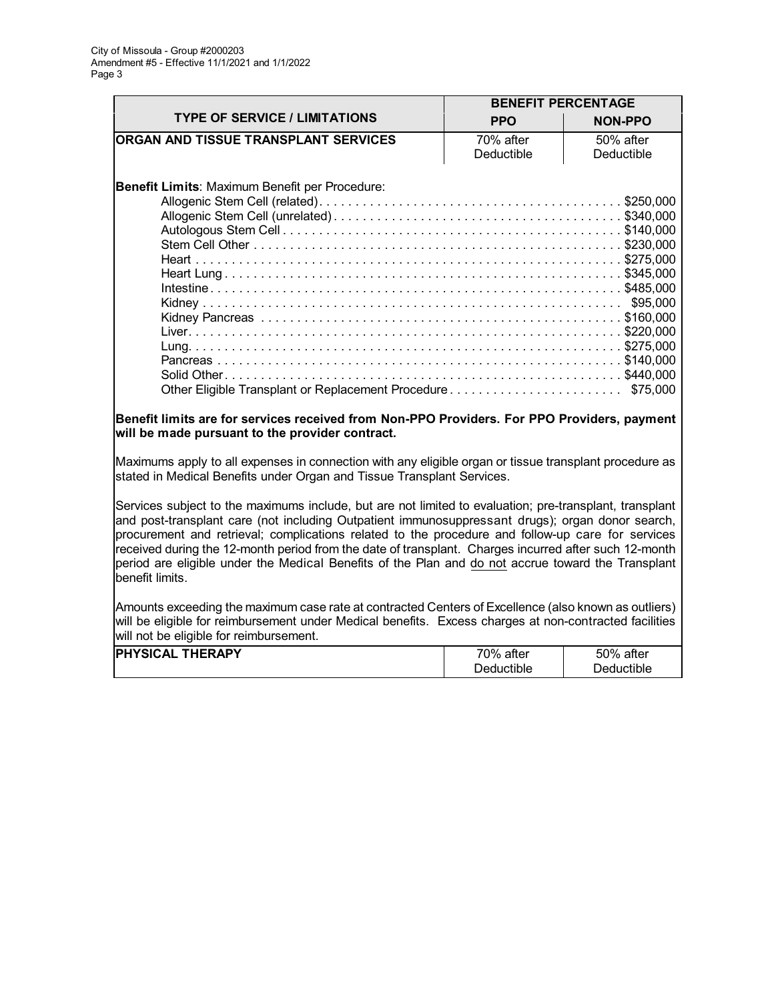|                                                | <b>BENEFIT PERCENTAGE</b> |                |
|------------------------------------------------|---------------------------|----------------|
| <b>TYPE OF SERVICE / LIMITATIONS</b>           | <b>PPO</b>                | <b>NON-PPO</b> |
| <b>ORGAN AND TISSUE TRANSPLANT SERVICES</b>    | 70% after                 | 50% after      |
|                                                | Deductible                | Deductible     |
| Benefit Limits: Maximum Benefit per Procedure: |                           |                |
|                                                |                           |                |
|                                                |                           |                |
|                                                |                           |                |
|                                                |                           |                |
|                                                |                           | \$75,000       |

## **Benefit limits are for services received from Non-PPO Providers. For PPO Providers, payment will be made pursuant to the provider contract.**

Maximums apply to all expenses in connection with any eligible organ or tissue transplant procedure as stated in Medical Benefits under Organ and Tissue Transplant Services.

Services subject to the maximums include, but are not limited to evaluation; pre-transplant, transplant and post-transplant care (not including Outpatient immunosuppressant drugs); organ donor search, procurement and retrieval; complications related to the procedure and follow-up care for services received during the 12-month period from the date of transplant. Charges incurred after such 12-month period are eligible under the Medical Benefits of the Plan and do not accrue toward the Transplant benefit limits.

Amounts exceeding the maximum case rate at contracted Centers of Excellence (also known as outliers) will be eligible for reimbursement under Medical benefits. Excess charges at non-contracted facilities will not be eligible for reimbursement.

| <b>IPHYSICAL</b> | 70%        | 50%        |
|------------------|------------|------------|
| <b>THERAPY</b>   | after      | after      |
|                  | Deductible | Deductible |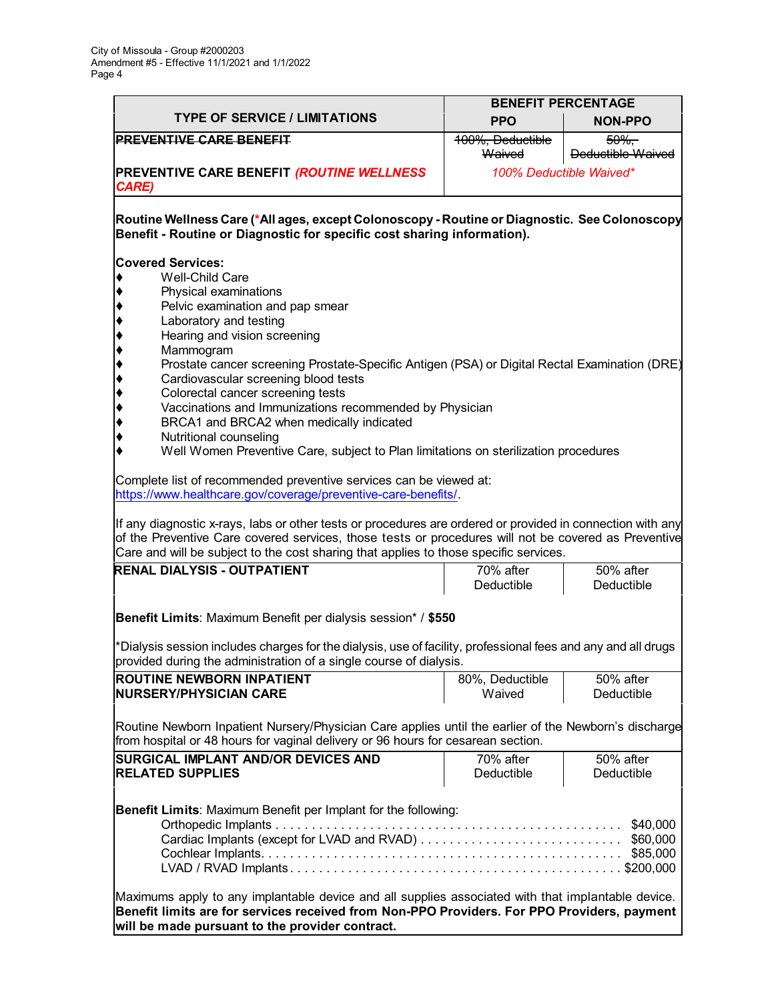'n

|                                                                                                                                                                          | <b>BENEFIT PERCENTAGE</b> |                          |
|--------------------------------------------------------------------------------------------------------------------------------------------------------------------------|---------------------------|--------------------------|
| <b>TYPE OF SERVICE / LIMITATIONS</b>                                                                                                                                     | <b>PPO</b>                | <b>NON-PPO</b>           |
| <b>PREVENTIVE CARE BENEFIT</b>                                                                                                                                           | 100%, Deductible          | $50\%$                   |
|                                                                                                                                                                          | Waived                    | <b>Deductible Waived</b> |
| PREVENTIVE CARE BENEFIT (ROUTINE WELLNESS<br><b>CARE)</b>                                                                                                                |                           | 100% Deductible Waived*  |
| Routine Wellness Care (*All ages, except Colonoscopy - Routine or Diagnostic. See Colonoscopy<br>Benefit - Routine or Diagnostic for specific cost sharing information). |                           |                          |
|                                                                                                                                                                          |                           |                          |
| <b>Covered Services:</b><br>Well-Child Care                                                                                                                              |                           |                          |
| Physical examinations<br> ♦                                                                                                                                              |                           |                          |
| ♦<br>Pelvic examination and pap smear                                                                                                                                    |                           |                          |
| ♦<br>Laboratory and testing                                                                                                                                              |                           |                          |
| ♦<br>Hearing and vision screening                                                                                                                                        |                           |                          |
| ♦<br>Mammogram                                                                                                                                                           |                           |                          |
| ◆<br>Prostate cancer screening Prostate-Specific Antigen (PSA) or Digital Rectal Examination (DRE)                                                                       |                           |                          |
| ♦<br>Cardiovascular screening blood tests                                                                                                                                |                           |                          |
| ♦<br>Colorectal cancer screening tests                                                                                                                                   |                           |                          |
| ♦<br>Vaccinations and Immunizations recommended by Physician                                                                                                             |                           |                          |
| ♦<br>BRCA1 and BRCA2 when medically indicated                                                                                                                            |                           |                          |
| Nutritional counseling<br>٠                                                                                                                                              |                           |                          |
| Well Women Preventive Care, subject to Plan limitations on sterilization procedures                                                                                      |                           |                          |
| Complete list of recommended preventive services can be viewed at:                                                                                                       |                           |                          |
| https://www.healthcare.gov/coverage/preventive-care-benefits/.                                                                                                           |                           |                          |
|                                                                                                                                                                          |                           |                          |
| If any diagnostic x-rays, labs or other tests or procedures are ordered or provided in connection with any                                                               |                           |                          |
| of the Preventive Care covered services, those tests or procedures will not be covered as Preventive                                                                     |                           |                          |
| Care and will be subject to the cost sharing that applies to those specific services.                                                                                    |                           |                          |
| RENAL DIALYSIS - OUTPATIENT                                                                                                                                              | 70% after                 | $\overline{50\%}$ after  |
|                                                                                                                                                                          | Deductible                | Deductible               |
| Benefit Limits: Maximum Benefit per dialysis session* / \$550                                                                                                            |                           |                          |
| *Dialysis session includes charges for the dialysis, use of facility, professional fees and any and all drugs                                                            |                           |                          |
| provided during the administration of a single course of dialysis.                                                                                                       |                           |                          |
| <b>ROUTINE NEWBORN INPATIENT</b>                                                                                                                                         | 80%, Deductible           | 50% after                |
| <b>NURSERY/PHYSICIAN CARE</b>                                                                                                                                            | Waived                    | Deductible               |
|                                                                                                                                                                          |                           |                          |
| Routine Newborn Inpatient Nursery/Physician Care applies until the earlier of the Newborn's discharge                                                                    |                           |                          |
| from hospital or 48 hours for vaginal delivery or 96 hours for cesarean section.                                                                                         |                           |                          |
| <b>SURGICAL IMPLANT AND/OR DEVICES AND</b>                                                                                                                               | 70% after                 | 50% after                |
| <b>RELATED SUPPLIES</b>                                                                                                                                                  | Deductible                | Deductible               |
|                                                                                                                                                                          |                           |                          |
| Benefit Limits: Maximum Benefit per Implant for the following:                                                                                                           |                           |                          |
|                                                                                                                                                                          |                           | \$40,000                 |
|                                                                                                                                                                          |                           | \$60,000                 |
| \$85,000                                                                                                                                                                 |                           |                          |
|                                                                                                                                                                          |                           |                          |
|                                                                                                                                                                          |                           |                          |
| Maximums apply to any implantable device and all supplies associated with that implantable device.                                                                       |                           |                          |
| Benefit limits are for services received from Non-PPO Providers. For PPO Providers, payment                                                                              |                           |                          |
| will be made pursuant to the provider contract.                                                                                                                          |                           |                          |
|                                                                                                                                                                          |                           |                          |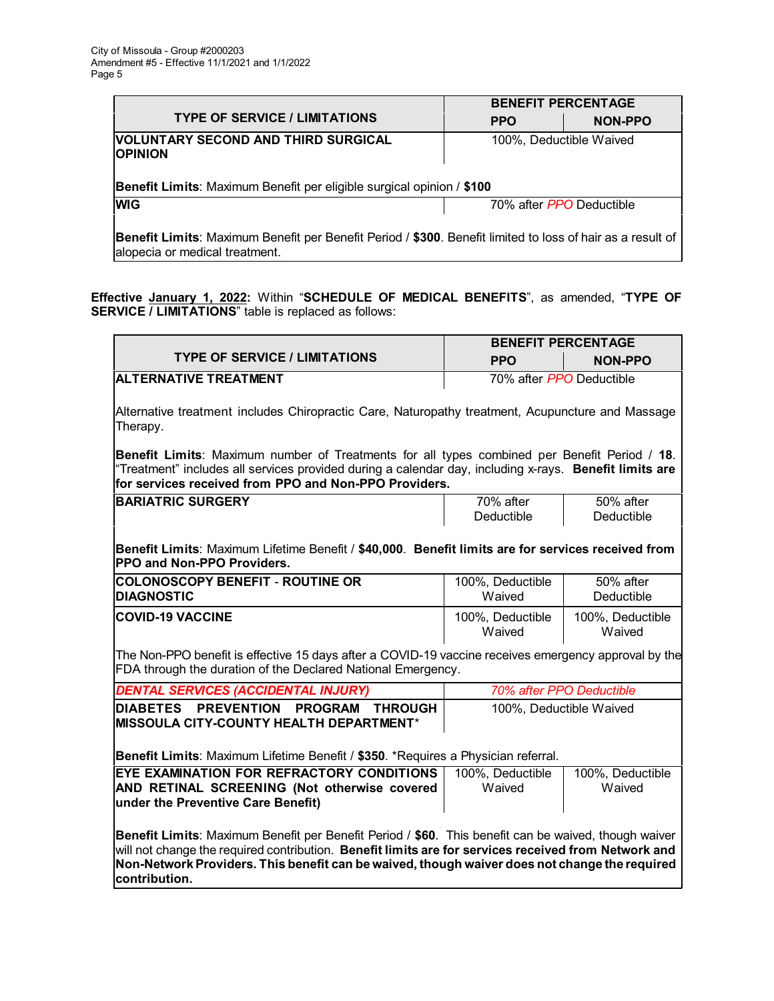|                                                                                                                                       | <b>BENEFIT PERCENTAGE</b> |                |
|---------------------------------------------------------------------------------------------------------------------------------------|---------------------------|----------------|
| <b>TYPE OF SERVICE / LIMITATIONS</b>                                                                                                  | <b>PPO</b>                | <b>NON-PPO</b> |
| VOLUNTARY SECOND AND THIRD SURGICAL<br><b>OPINION</b><br><b>Benefit Limits:</b> Maximum Benefit per eligible surgical opinion / \$100 | 100%, Deductible Waived   |                |
| <b>WIG</b>                                                                                                                            | 70% after PPO Deductible  |                |

**Benefit Limits**: Maximum Benefit per Benefit Period / **\$300**. Benefit limited to loss of hair as a result of alopecia or medical treatment.

**Effective January 1, 2022:** Within "**SCHEDULE OF MEDICAL BENEFITS**", as amended, "**TYPE OF SERVICE / LIMITATIONS**" table is replaced as follows:

|                                                                                                                                                                                                                                                                                                                                | <b>BENEFIT PERCENTAGE</b>  |                            |
|--------------------------------------------------------------------------------------------------------------------------------------------------------------------------------------------------------------------------------------------------------------------------------------------------------------------------------|----------------------------|----------------------------|
| <b>TYPE OF SERVICE / LIMITATIONS</b>                                                                                                                                                                                                                                                                                           | <b>PPO</b>                 | <b>NON-PPO</b>             |
| <b>ALTERNATIVE TREATMENT</b>                                                                                                                                                                                                                                                                                                   | 70% after PPO Deductible   |                            |
| Alternative treatment includes Chiropractic Care, Naturopathy treatment, Acupuncture and Massage<br>Therapy.                                                                                                                                                                                                                   |                            |                            |
| Benefit Limits: Maximum number of Treatments for all types combined per Benefit Period / 18.<br>"Treatment" includes all services provided during a calendar day, including x-rays. Benefit limits are<br>for services received from PPO and Non-PPO Providers.                                                                |                            |                            |
| <b>BARIATRIC SURGERY</b>                                                                                                                                                                                                                                                                                                       | $\frac{70\%}{20}$ after    | $50\%$ after               |
|                                                                                                                                                                                                                                                                                                                                | Deductible                 | Deductible                 |
| Benefit Limits: Maximum Lifetime Benefit / \$40,000. Benefit limits are for services received from<br>PPO and Non-PPO Providers.                                                                                                                                                                                               |                            |                            |
| <b>COLONOSCOPY BENEFIT - ROUTINE OR</b><br><b>DIAGNOSTIC</b>                                                                                                                                                                                                                                                                   | 100%, Deductible<br>Waived | 50% after<br>Deductible    |
| <b>COVID-19 VACCINE</b>                                                                                                                                                                                                                                                                                                        | 100%, Deductible<br>Waived | 100%, Deductible<br>Waived |
| The Non-PPO benefit is effective 15 days after a COVID-19 vaccine receives emergency approval by the<br>FDA through the duration of the Declared National Emergency.                                                                                                                                                           |                            |                            |
| DENTAL SERVICES (ACCIDENTAL INJURY)                                                                                                                                                                                                                                                                                            | 70% after PPO Deductible   |                            |
| <b>PREVENTION</b><br><b>DIABETES</b><br><b>PROGRAM</b><br><b>THROUGH</b><br>MISSOULA CITY-COUNTY HEALTH DEPARTMENT*<br>Benefit Limits: Maximum Lifetime Benefit / \$350. *Requires a Physician referral.                                                                                                                       | 100%, Deductible Waived    |                            |
| EYE EXAMINATION FOR REFRACTORY CONDITIONS                                                                                                                                                                                                                                                                                      | 100%, Deductible           | 100%, Deductible           |
| AND RETINAL SCREENING (Not otherwise covered<br>under the Preventive Care Benefit)                                                                                                                                                                                                                                             | Waived                     | Waived                     |
| Benefit Limits: Maximum Benefit per Benefit Period / \$60. This benefit can be waived, though waiver<br>will not change the required contribution. Benefit limits are for services received from Network and<br>Non-Network Providers. This benefit can be waived, though waiver does not change the required<br>contribution. |                            |                            |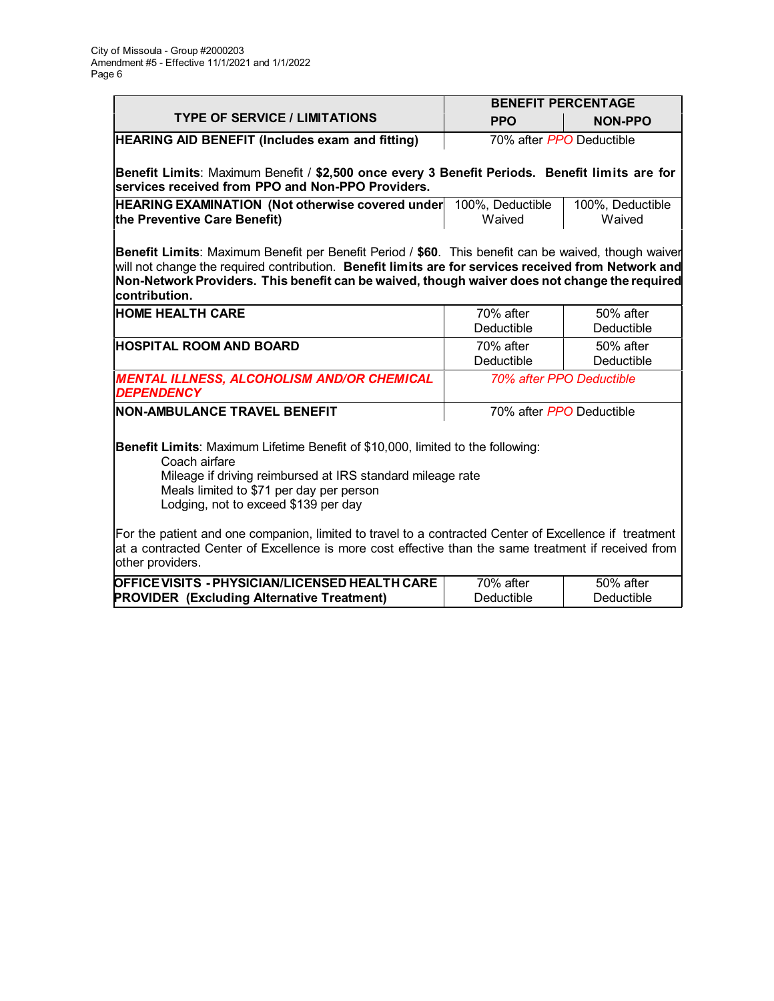|                                                                                                                                                                                                                                                                                                                                | <b>BENEFIT PERCENTAGE</b>  |                            |
|--------------------------------------------------------------------------------------------------------------------------------------------------------------------------------------------------------------------------------------------------------------------------------------------------------------------------------|----------------------------|----------------------------|
| <b>TYPE OF SERVICE / LIMITATIONS</b>                                                                                                                                                                                                                                                                                           | <b>PPO</b>                 | <b>NON-PPO</b>             |
| <b>HEARING AID BENEFIT (Includes exam and fitting)</b>                                                                                                                                                                                                                                                                         | 70% after PPO Deductible   |                            |
| Benefit Limits: Maximum Benefit / \$2,500 once every 3 Benefit Periods. Benefit limits are for<br>services received from PPO and Non-PPO Providers.                                                                                                                                                                            |                            |                            |
| <b>HEARING EXAMINATION (Not otherwise covered under</b><br>the Preventive Care Benefit)                                                                                                                                                                                                                                        | 100%, Deductible<br>Waived | 100%, Deductible<br>Waived |
| Benefit Limits: Maximum Benefit per Benefit Period / \$60. This benefit can be waived, though waiver<br>will not change the required contribution. Benefit limits are for services received from Network and<br>Non-Network Providers. This benefit can be waived, though waiver does not change the required<br>contribution. |                            |                            |
| <b>HOME HEALTH CARE</b>                                                                                                                                                                                                                                                                                                        | 70% after<br>Deductible    | 50% after<br>Deductible    |
| <b>HOSPITAL ROOM AND BOARD</b>                                                                                                                                                                                                                                                                                                 | 70% after<br>Deductible    | 50% after<br>Deductible    |
| <b>MENTAL ILLNESS, ALCOHOLISM AND/OR CHEMICAL</b><br><b>DEPENDENCY</b>                                                                                                                                                                                                                                                         |                            | 70% after PPO Deductible   |
| <b>NON-AMBULANCE TRAVEL BENEFIT</b>                                                                                                                                                                                                                                                                                            | 70% after PPO Deductible   |                            |
| Benefit Limits: Maximum Lifetime Benefit of \$10,000, limited to the following:<br>Coach airfare<br>Mileage if driving reimbursed at IRS standard mileage rate<br>Meals limited to \$71 per day per person<br>Lodging, not to exceed \$139 per day                                                                             |                            |                            |
| For the patient and one companion, limited to travel to a contracted Center of Excellence if treatment<br>at a contracted Center of Excellence is more cost effective than the same treatment if received from<br>other providers.                                                                                             |                            |                            |
| OFFICE VISITS - PHYSICIAN/LICENSED HEALTH CARE<br><b>PROVIDER (Excluding Alternative Treatment)</b>                                                                                                                                                                                                                            | 70% after<br>Deductible    | 50% after<br>Deductible    |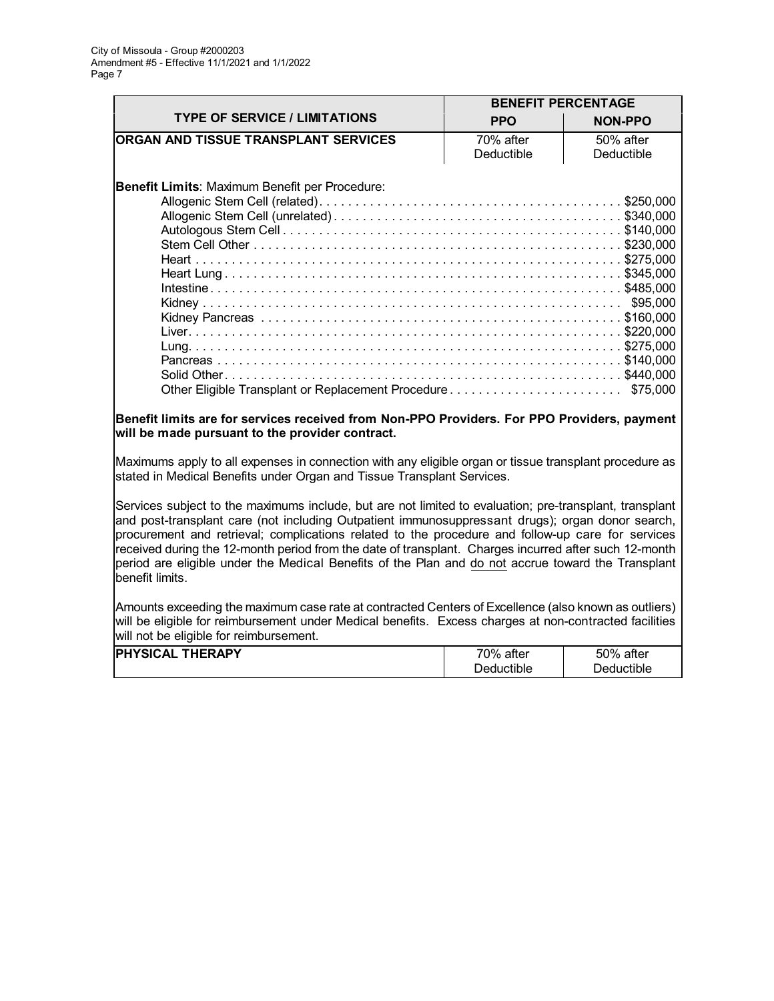|                                                | <b>BENEFIT PERCENTAGE</b> |                |
|------------------------------------------------|---------------------------|----------------|
| <b>TYPE OF SERVICE / LIMITATIONS</b>           | <b>PPO</b>                | <b>NON-PPO</b> |
| <b>ORGAN AND TISSUE TRANSPLANT SERVICES</b>    | 70% after                 | 50% after      |
|                                                | Deductible                | Deductible     |
| Benefit Limits: Maximum Benefit per Procedure: |                           | \$95,000       |
|                                                |                           |                |
|                                                |                           |                |
|                                                |                           | \$75,000       |

## **Benefit limits are for services received from Non-PPO Providers. For PPO Providers, payment will be made pursuant to the provider contract.**

Maximums apply to all expenses in connection with any eligible organ or tissue transplant procedure as stated in Medical Benefits under Organ and Tissue Transplant Services.

Services subject to the maximums include, but are not limited to evaluation; pre-transplant, transplant and post-transplant care (not including Outpatient immunosuppressant drugs); organ donor search, procurement and retrieval; complications related to the procedure and follow-up care for services received during the 12-month period from the date of transplant. Charges incurred after such 12-month period are eligible under the Medical Benefits of the Plan and do not accrue toward the Transplant benefit limits.

Amounts exceeding the maximum case rate at contracted Centers of Excellence (also known as outliers) will be eligible for reimbursement under Medical benefits. Excess charges at non-contracted facilities will not be eligible for reimbursement.

| <b>IPHYSICAL</b> | 70%        | 50%        |
|------------------|------------|------------|
| <b>THERAPY</b>   | after      | after      |
|                  | Deductible | Deductible |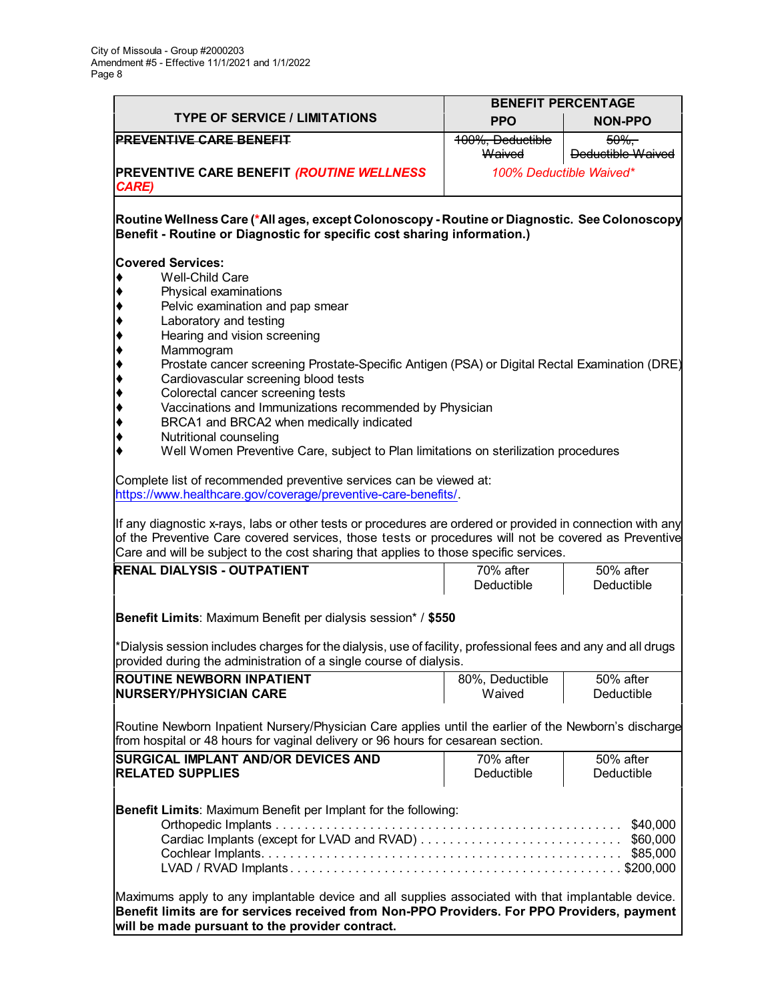r

|                                                                                                                                                                                                                                                                                                                                                                                                         |                            | <b>BENEFIT PERCENTAGE</b>          |
|---------------------------------------------------------------------------------------------------------------------------------------------------------------------------------------------------------------------------------------------------------------------------------------------------------------------------------------------------------------------------------------------------------|----------------------------|------------------------------------|
| <b>TYPE OF SERVICE / LIMITATIONS</b>                                                                                                                                                                                                                                                                                                                                                                    | <b>PPO</b>                 | <b>NON-PPO</b>                     |
| <b>PREVENTIVE CARE BENEFIT</b>                                                                                                                                                                                                                                                                                                                                                                          | 100%, Deductible<br>Waived | $50\%$<br><b>Deductible Waived</b> |
| <b>PREVENTIVE CARE BENEFIT (ROUTINE WELLNESS)</b><br><b>CARE)</b>                                                                                                                                                                                                                                                                                                                                       |                            | 100% Deductible Waived*            |
| Routine Wellness Care (*All ages, except Colonoscopy - Routine or Diagnostic.  See Colonoscopy<br>Benefit - Routine or Diagnostic for specific cost sharing information.)                                                                                                                                                                                                                               |                            |                                    |
| <b>Covered Services:</b><br>Well-Child Care<br>$\blacklozenge$<br>Physical examinations<br>Pelvic examination and pap smear<br>Laboratory and testing<br>Hearing and vision screening<br>Mammogram                                                                                                                                                                                                      |                            |                                    |
| Prostate cancer screening Prostate-Specific Antigen (PSA) or Digital Rectal Examination (DRE)<br>Cardiovascular screening blood tests<br>Colorectal cancer screening tests<br>Vaccinations and Immunizations recommended by Physician<br>BRCA1 and BRCA2 when medically indicated<br>Nutritional counseling<br>٠<br>Well Women Preventive Care, subject to Plan limitations on sterilization procedures |                            |                                    |
| Complete list of recommended preventive services can be viewed at:<br>https://www.healthcare.gov/coverage/preventive-care-benefits/.<br>If any diagnostic x-rays, labs or other tests or procedures are ordered or provided in connection with any<br>of the Preventive Care covered services, those tests or procedures will not be covered as Preventive                                              |                            |                                    |
| Care and will be subject to the cost sharing that applies to those specific services.                                                                                                                                                                                                                                                                                                                   |                            |                                    |
| <b>RENAL DIALYSIS - OUTPATIENT</b>                                                                                                                                                                                                                                                                                                                                                                      | 70% after<br>Deductible    | 50% after<br>Deductible            |
| Benefit Limits: Maximum Benefit per dialysis session* / \$550                                                                                                                                                                                                                                                                                                                                           |                            |                                    |
| *Dialysis session includes charges for the dialysis, use of facility, professional fees and any and all drugs<br>provided during the administration of a single course of dialysis.                                                                                                                                                                                                                     |                            |                                    |
| <b>ROUTINE NEWBORN INPATIENT</b><br><b>INURSERY/PHYSICIAN CARE</b>                                                                                                                                                                                                                                                                                                                                      | 80%, Deductible<br>Waived  | 50% after<br>Deductible            |
| Routine Newborn Inpatient Nursery/Physician Care applies until the earlier of the Newborn's discharge<br>from hospital or 48 hours for vaginal delivery or 96 hours for cesarean section.                                                                                                                                                                                                               |                            |                                    |
| <b>SURGICAL IMPLANT AND/OR DEVICES AND</b><br><b>RELATED SUPPLIES</b>                                                                                                                                                                                                                                                                                                                                   | 70% after<br>Deductible    | 50% after<br>Deductible            |
| Benefit Limits: Maximum Benefit per Implant for the following:<br>\$40,000<br>\$60,000<br>\$85,000<br>Maximums apply to any implantable device and all supplies associated with that implantable device.                                                                                                                                                                                                |                            |                                    |
| Benefit limits are for services received from Non-PPO Providers. For PPO Providers, payment<br>will be made pursuant to the provider contract.                                                                                                                                                                                                                                                          |                            |                                    |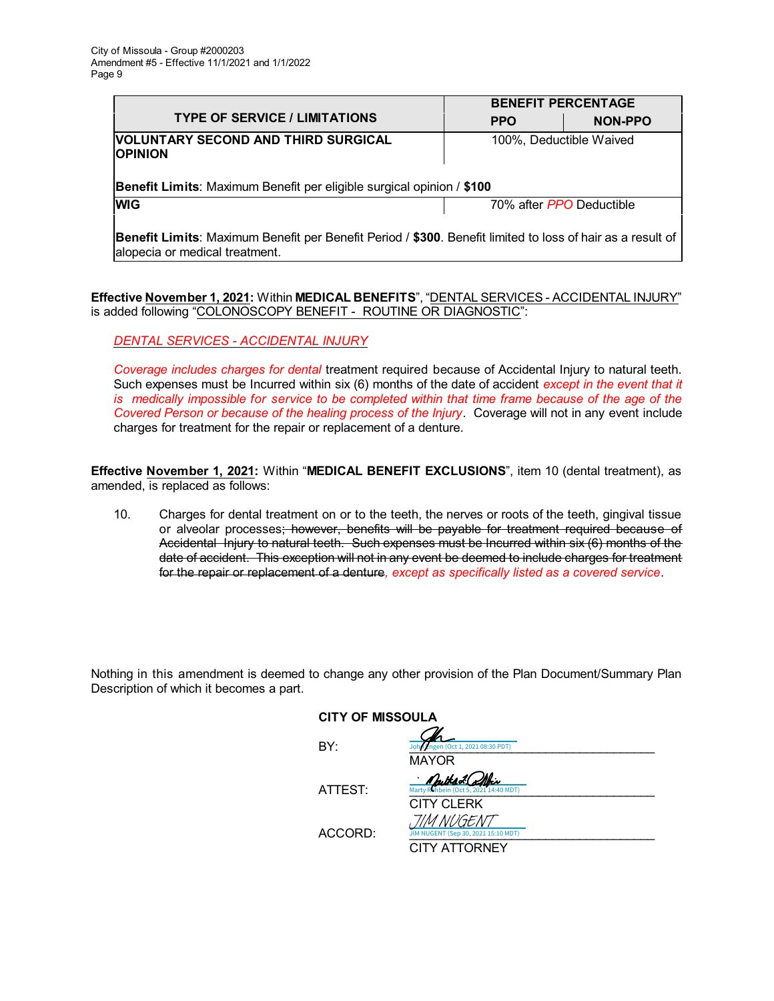|                                                                                                                                              | <b>BENEFIT PERCENTAGE</b> |                         |
|----------------------------------------------------------------------------------------------------------------------------------------------|---------------------------|-------------------------|
| <b>TYPE OF SERVICE / LIMITATIONS</b>                                                                                                         | <b>PPO</b>                | NON-PPO                 |
| <b>VOLUNTARY SECOND AND THIRD SURGICAL</b><br><b>OPINION</b>                                                                                 |                           | 100%, Deductible Waived |
| <b>Benefit Limits:</b> Maximum Benefit per eligible surgical opinion / \$100                                                                 |                           |                         |
| <b>WIG</b>                                                                                                                                   | 70% after PPO Deductible  |                         |
| Benefit Limits: Maximum Benefit per Benefit Period / \$300. Benefit limited to loss of hair as a result of<br>alopecia or medical treatment. |                           |                         |

**Effective November 1, 2021:** Within **MEDICAL BENEFITS**", "DENTAL SERVICES - ACCIDENTAL INJURY" is added following "COLONOSCOPY BENEFIT - ROUTINE OR DIAGNOSTIC":

# *DENTAL SERVICES - ACCIDENTAL INJURY*

*Coverage includes charges for dental* treatment required because of Accidental Injury to natural teeth. Such expenses must be Incurred within six (6) months of the date of accident *except in the event that it* is medically impossible for service to be completed within that time frame because of the age of the *Covered Person or because of the healing process of the Injury*. Coverage will not in any event include charges for treatment for the repair or replacement of a denture.

**Effective November 1, 2021:** Within "**MEDICAL BENEFIT EXCLUSIONS**", item 10 (dental treatment), as amended, is replaced as follows:

10. Charges for dental treatment on or to the teeth, the nerves or roots of the teeth, gingival tissue or alveolar processes; however, benefits will be payable for treatment required because of Accidental Injury to natural teeth. Such expenses must be Incurred within six (6) months of the date of accident. This exception will not in any event be deemed to include charges for treatment for the repair or replacement of a denture*, except as specifically listed as a covered service*.

Nothing in this amendment is deemed to change any other provision of the Plan Document/Summary Plan Description of which it becomes a part.

| <b>CITY OF MISSOULA</b> |                                                          |
|-------------------------|----------------------------------------------------------|
| BY:                     | John Engen (Oct 1, 2021 08:30 PDT)                       |
|                         | <b>MAYOR</b>                                             |
| ATTEST:                 | · Muthad Coffei<br>Marty Rehbein (Oct 5, 2021 14:40 MDT) |
|                         | <b>CITY CLERK</b>                                        |
| ACCORD:                 | TIM NUGENT<br>JIM NUGENT (Sep 30, 2021 15:10 MDT)        |
|                         | CITY ATTORNEY                                            |